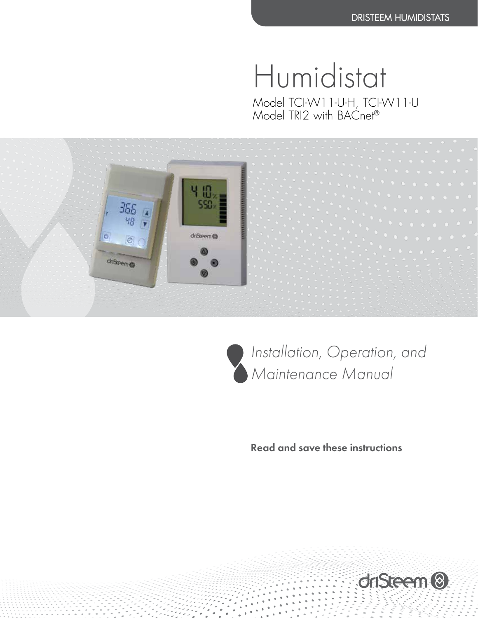Humidistat Model TCI-W11-U-H, TCI-W11-U Model TRI2 with BACnet®  $\,$ 





*Installation, Operation, and Maintenance Manual*

Read and save these instructions

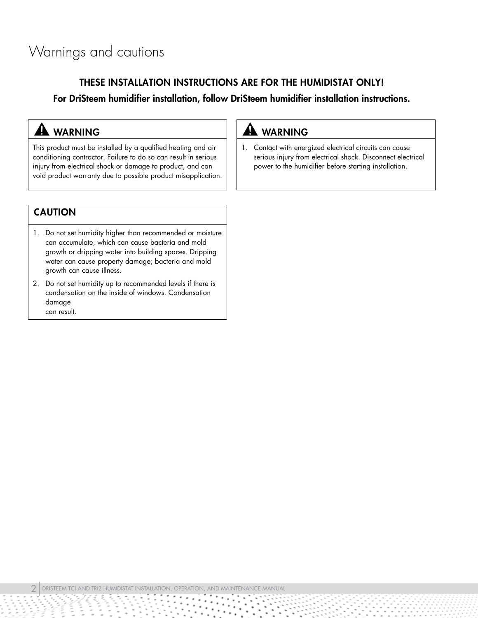## Warnings and cautions

### THESE INSTALLATION INSTRUCTIONS ARE FOR THE HUMIDISTAT ONLY!

For DriSteem humidifier installation, follow DriSteem humidifier installation instructions.

### **A** WARNING

This product must be installed by a qualified heating and air conditioning contractor. Failure to do so can result in serious injury from electrical shock or damage to product, and can void product warranty due to possible product misapplication.

### **A** WARNING

1. Contact with energized electrical circuits can cause serious injury from electrical shock. Disconnect electrical power to the humidifier before starting installation.

### CAUTION

- 1. Do not set humidity higher than recommended or moisture can accumulate, which can cause bacteria and mold growth or dripping water into building spaces. Dripping water can cause property damage; bacteria and mold growth can cause illness.
- 2. Do not set humidity up to recommended levels if there is condensation on the inside of windows. Condensation damage can result.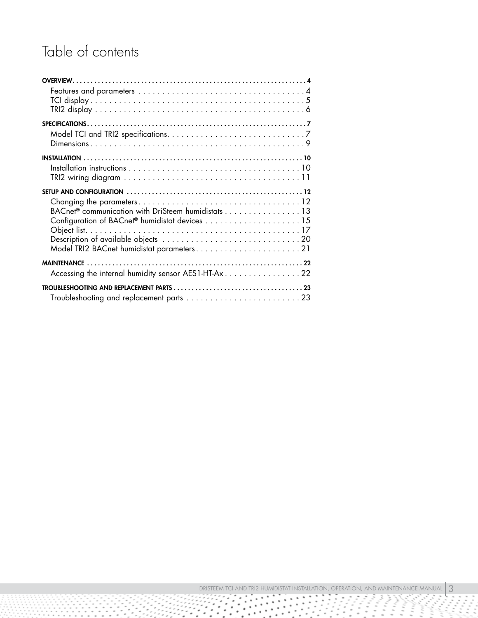## Table of contents

| BACnet® communication with DriSteem humidistats 13 |  |
|----------------------------------------------------|--|
|                                                    |  |
|                                                    |  |
|                                                    |  |
|                                                    |  |
|                                                    |  |
|                                                    |  |
|                                                    |  |

£

Ŧ  $\overline{\phantom{a}}$ 

i,

99

 $\alpha$ 

 $\;$  $\bullet$ 

 $\ddot{\phantom{a}}$ 

 $\ddot{\phantom{a}}$  $\bullet$ 

۰

ŷ Ŧ

 $\mu$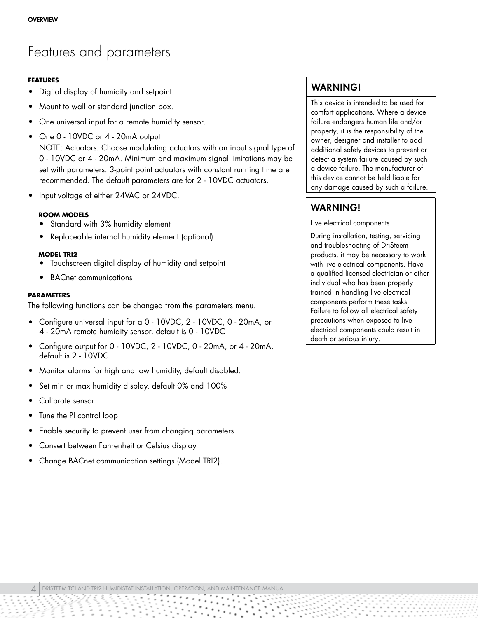### <span id="page-3-0"></span>Features and parameters

### **FEATURES**

- Digital display of humidity and setpoint.
- Mount to wall or standard junction box.
- One universal input for a remote humidity sensor.
- One 0 10VDC or 4 20mA output

NOTE: Actuators: Choose modulating actuators with an input signal type of 0 - 10VDC or 4 - 20mA. Minimum and maximum signal limitations may be set with parameters. 3-point point actuators with constant running time are recommended. The default parameters are for 2 - 10VDC actuators.

• Input voltage of either 24VAC or 24VDC.

### **ROOM MODELS**

- Standard with 3% humidity element
- Replaceable internal humidity element (optional)

### **MODEL TRI2**

- Touchscreen digital display of humidity and setpoint
- BACnet communications

### **PARAMETERS**

The following functions can be changed from the parameters menu.

- Configure universal input for a 0 10VDC, 2 10VDC, 0 20mA, or 4 - 20mA remote humidity sensor, default is 0 - 10VDC
- Configure output for 0 10VDC, 2 10VDC, 0 20mA, or 4 20mA, default is 2 - 10VDC
- Monitor alarms for high and low humidity, default disabled.
- Set min or max humidity display, default 0% and 100%
- Calibrate sensor
- Tune the PI control loop
- Enable security to prevent user from changing parameters.
- Convert between Fahrenheit or Celsius display.
- Change BACnet communication settings (Model TRI2).

### WARNING!

This device is intended to be used for comfort applications. Where a device failure endangers human life and/or property, it is the responsibility of the owner, designer and installer to add additional safety devices to prevent or detect a system failure caused by such a device failure. The manufacturer of this device cannot be held liable for any damage caused by such a failure.

### WARNING!

Live electrical components

During installation, testing, servicing and troubleshooting of DriSteem products, it may be necessary to work with live electrical components. Have a qualified licensed electrician or other individual who has been properly trained in handling live electrical components perform these tasks. Failure to follow all electrical safety precautions when exposed to live electrical components could result in death or serious injury.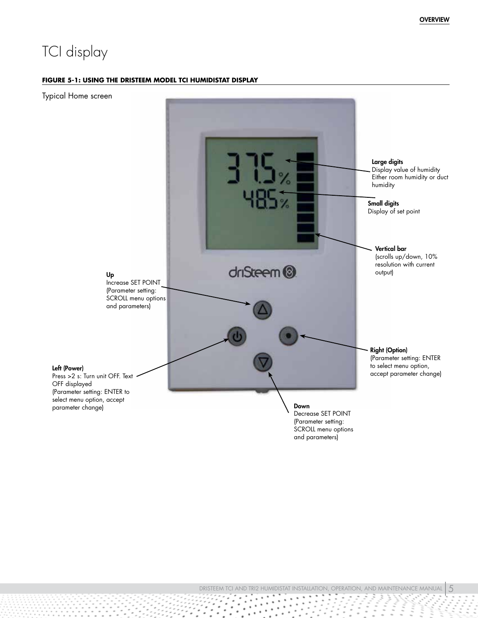## <span id="page-4-0"></span>TCI display

#### **FIGURE 5-1: USING THE DRISTEEM MODEL TCI HUMIDISTAT DISPLAY**



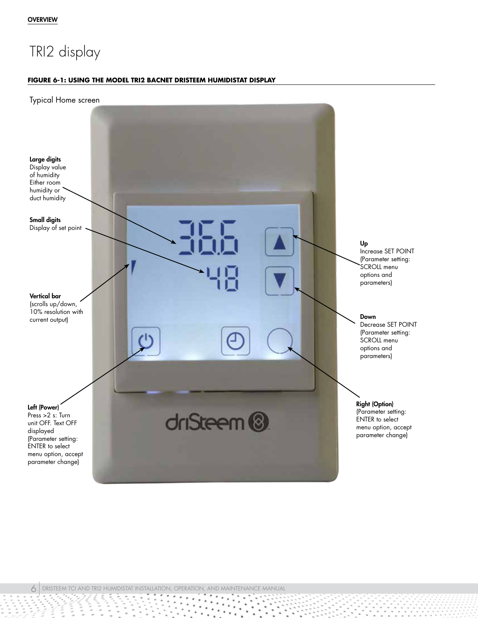## <span id="page-5-0"></span>TRI2 display

#### **FIGURE 6-1: USING THE MODEL TRI2 BACNET DRISTEEM HUMIDISTAT DISPLAY**



 $\bullet$ 

ţ  $\frac{1}{2}$  $\frac{1}{2}$ 

 $\ddot{\phantom{a}}$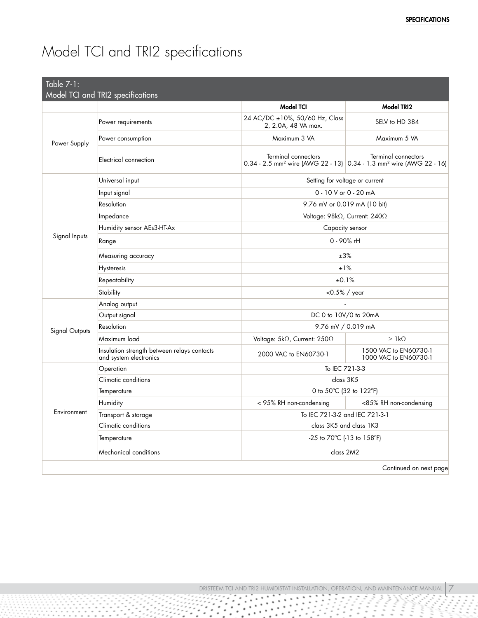# <span id="page-6-0"></span>Model TCI and TRI2 specifications

| Table $7-1$ :         | Model TCI and TRI2 specifications                                     |                                                                                                                    |                                                 |
|-----------------------|-----------------------------------------------------------------------|--------------------------------------------------------------------------------------------------------------------|-------------------------------------------------|
|                       |                                                                       | <b>Model TCI</b>                                                                                                   | <b>Model TRI2</b>                               |
| Power Supply          | Power requirements                                                    | 24 AC/DC ±10%, 50/60 Hz, Class<br>2, 2.0A, 48 VA max.                                                              | SELV to HD 384                                  |
|                       | Power consumption                                                     | Maximum 3 VA                                                                                                       | Maximum 5 VA                                    |
|                       | Electrical connection                                                 | Terminal connectors<br>0.34 - 2.5 mm <sup>2</sup> wire (AWG 22 - 13) 0.34 - 1.3 mm <sup>2</sup> wire (AWG 22 - 16) | Terminal connectors                             |
|                       | Universal input                                                       |                                                                                                                    | Setting for voltage or current                  |
|                       | Input signal                                                          |                                                                                                                    | 0 - 10 V or 0 - 20 mA                           |
|                       | Resolution                                                            |                                                                                                                    | 9.76 mV or 0.019 mA (10 bit)                    |
|                       | Impedance                                                             |                                                                                                                    | Voltage: 98kΩ, Current: 240Ω                    |
|                       | Humidity sensor AEs3-HT-Ax                                            |                                                                                                                    | Capacity sensor                                 |
| Signal Inputs         | Range                                                                 |                                                                                                                    | 0 - 90% rH                                      |
|                       | Measuring accuracy                                                    | ±3%                                                                                                                |                                                 |
|                       | Hysteresis                                                            | ±1%                                                                                                                |                                                 |
|                       | Repeatability                                                         |                                                                                                                    | ±0.1%                                           |
|                       | Stability                                                             |                                                                                                                    | $<$ 0.5% / year                                 |
|                       | Analog output                                                         |                                                                                                                    |                                                 |
|                       | Output signal                                                         | DC 0 to 10V/0 to 20mA                                                                                              |                                                 |
| <b>Signal Outputs</b> | Resolution                                                            |                                                                                                                    | 9.76 mV / 0.019 mA                              |
|                       | Maximum load                                                          | Voltage: 5kΩ, Current: 250Ω                                                                                        | $\geq$ 1 k $\Omega$                             |
|                       | Insulation strength between relays contacts<br>and system electronics | 2000 VAC to EN60730-1                                                                                              | 1500 VAC to EN60730-1<br>1000 VAC to EN60730-1  |
|                       | Operation                                                             | To IEC 721-3-3                                                                                                     |                                                 |
|                       | Climatic conditions                                                   |                                                                                                                    | class 3K5                                       |
|                       | Temperature                                                           | 0 to 50°C (32 to 122°F)                                                                                            |                                                 |
|                       | Humidity                                                              | < 95% RH non-condensing                                                                                            | <85% RH non-condensing                          |
| Environment           | Transport & storage                                                   | To IEC 721-3-2 and IEC 721-3-1                                                                                     |                                                 |
|                       | Climatic conditions                                                   |                                                                                                                    | class 3K5 and class 1K3                         |
|                       | Temperature                                                           |                                                                                                                    | -25 to $70^{\circ}$ C (-13 to 158 $^{\circ}$ F) |
|                       | Mechanical conditions                                                 |                                                                                                                    | class 2M2                                       |
|                       |                                                                       |                                                                                                                    | Continued on next page                          |

٠

٠

٠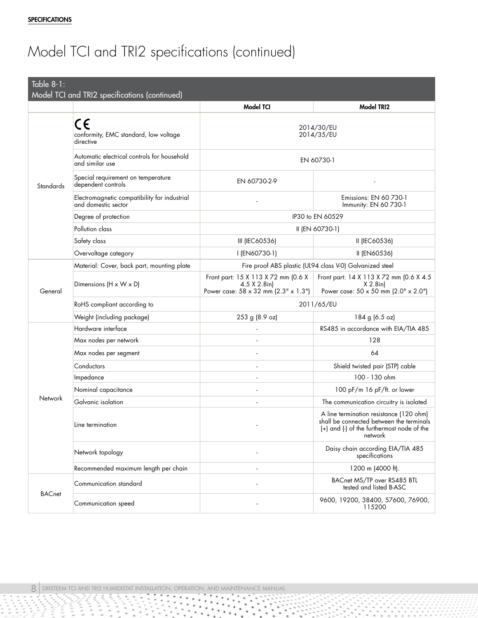# Model TCI and TRI2 specifications (continued)

| Table 8-1:    | Model TCI and TRI2 specifications (continued)                       |                                                                                                                                              |                                                                                                |
|---------------|---------------------------------------------------------------------|----------------------------------------------------------------------------------------------------------------------------------------------|------------------------------------------------------------------------------------------------|
|               |                                                                     | <b>Model TCI</b>                                                                                                                             | Model TRI2                                                                                     |
|               | C€<br>conformity, EMC standard, low voltage<br>directive            | 2014/30/EU<br>2014/35/EU                                                                                                                     |                                                                                                |
|               | Automatic electrical controls for household<br>and similar use      | EN 60730-1                                                                                                                                   |                                                                                                |
| Standards     | Special requirement on temperature<br>dependent controls            | EN 60730-2-9                                                                                                                                 |                                                                                                |
|               | Electromagnetic compatibility for industrial<br>and domestic sector |                                                                                                                                              | Emissions: EN 60 730-1<br>Immunity: EN 60 730-1                                                |
|               | Degree of protection                                                |                                                                                                                                              | IP30 to EN 60529                                                                               |
|               | Pollution class                                                     |                                                                                                                                              | II (EN 60730-1)                                                                                |
|               | Safety class                                                        | III (IEC60536)                                                                                                                               | II (IEC60536)                                                                                  |
|               | Overvoltage category                                                | I (EN60730-1)                                                                                                                                | II (EN60536)                                                                                   |
|               | Material: Cover, back part, mounting plate                          | Fire proof ABS plastic (UL94 class V-0) Galvanized steel                                                                                     |                                                                                                |
| General       | Dimensions (H x W x D)                                              | Front part: 15 X 113 X 72 mm (0.6 X<br>$4.5 \times 2.8$ in)<br>Power case: 58 x 32 mm (2.3" x 1.3")                                          | Front part: 14 X 113 X 72 mm (0.6 X 4.5)<br>$X$ 2.8in)<br>Power case: 50 x 50 mm (2.0" x 2.0") |
|               | RoHS compliant according to                                         | 2011/65/EU                                                                                                                                   |                                                                                                |
|               | Weight (including package)                                          | 253 g (8.9 oz)                                                                                                                               | 184 g (6.5 oz)                                                                                 |
|               | Hardware interface                                                  |                                                                                                                                              | RS485 in accordance with EIA/TIA 485                                                           |
|               | Max nodes per network                                               |                                                                                                                                              | 128                                                                                            |
|               | Max nodes per segment                                               |                                                                                                                                              | 64                                                                                             |
|               | Conductors                                                          | ٠                                                                                                                                            | Shield twisted pair (STP) cable                                                                |
|               | Impedance                                                           |                                                                                                                                              | 100 - 130 ohm                                                                                  |
|               | Nominal capacitance                                                 |                                                                                                                                              | 100 pF/m 16 pF/ft. or lower                                                                    |
| Network       | Galvanic isolation                                                  |                                                                                                                                              | The communication circuitry is isolated                                                        |
|               | Line termination                                                    | A line termination resistance (120 ohm)<br>shall be connected between the terminals<br>(+) and (-) of the furthermost node of the<br>network |                                                                                                |
|               | Network topology                                                    |                                                                                                                                              | Daisy chain according EIA/TIA 485<br>specifications                                            |
|               | Recommended maximum length per chain                                |                                                                                                                                              | 1200 m (4000 ft).                                                                              |
|               | Communication standard                                              |                                                                                                                                              | BACnet MS/TP over RS485 BTL<br>tested and listed B-ASC                                         |
| <b>BACnet</b> | Communication speed                                                 |                                                                                                                                              | 9600, 19200, 38400, 57600, 76900,<br>115200                                                    |

٠  $\ddot{\phantom{1}}$ 

 $\frac{1}{2}$ 

Ì,  $\frac{1}{2}$ 

 $\ddot{\phantom{a}}$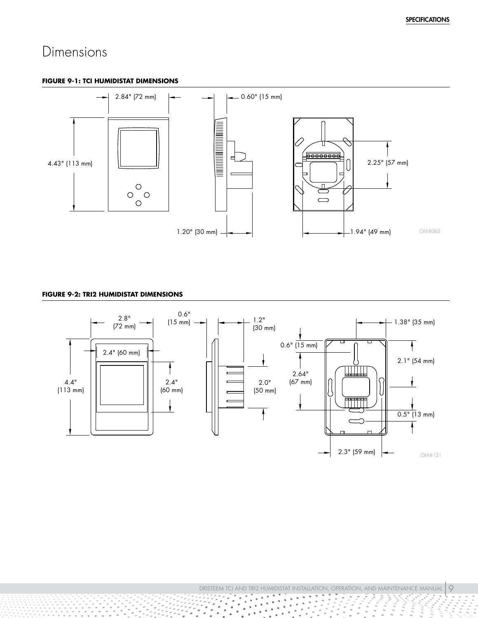### <span id="page-8-0"></span>Dimensions

#### **FIGURE 9-1: TCI HUMIDISTAT DIMENSIONS**



#### **FIGURE 9-2: TRI2 HUMIDISTAT DIMENSIONS**

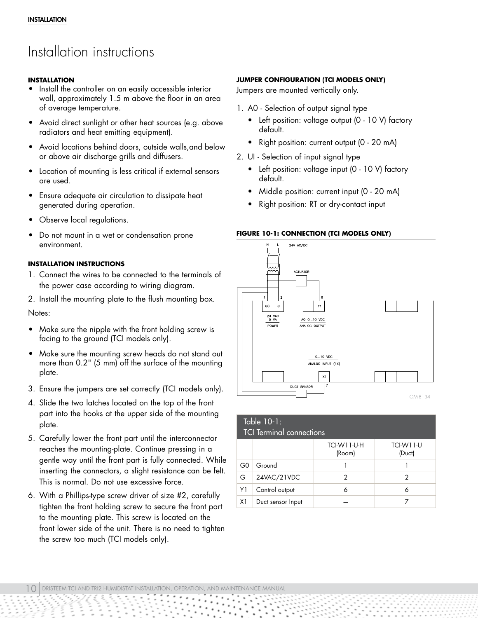## <span id="page-9-1"></span><span id="page-9-0"></span>Installation instructions

### **INSTALLATION**

- Install the controller on an easily accessible interior wall, approximately 1.5 m above the floor in an area of average temperature.
- Avoid direct sunlight or other heat sources (e.g. above radiators and heat emitting equipment).
- Avoid locations behind doors, outside walls,and below or above air discharge grills and diffusers.
- Location of mounting is less critical if external sensors are used.
- Ensure adequate air circulation to dissipate heat generated during operation.
- Observe local regulations.
- Do not mount in a wet or condensation prone environment.

### **INSTALLATION INSTRUCTIONS**

- 1. Connect the wires to be connected to the terminals of the power case according to wiring diagram.
- 2. Install the mounting plate to the flush mounting box. Notes:
- Make sure the nipple with the front holding screw is facing to the ground (TCI models only).
- Make sure the mounting screw heads do not stand out more than 0.2" (5 mm) off the surface of the mounting plate.
- 3. Ensure the jumpers are set correctly (TCI models only).
- 4. Slide the two latches located on the top of the front part into the hooks at the upper side of the mounting plate.
- 5. Carefully lower the front part until the interconnector reaches the mounting-plate. Continue pressing in a gentle way until the front part is fully connected. While inserting the connectors, a slight resistance can be felt. This is normal. Do not use excessive force.
- 6. With a Phillips-type screw driver of size #2, carefully tighten the front holding screw to secure the front part to the mounting plate. This screw is located on the front lower side of the unit. There is no need to tighten the screw too much (TCI models only).

### **JUMPER CONFIGURATION (TCI MODELS ONLY)**

Jumpers are mounted vertically only.

- 1. A0 Selection of output signal type
	- Left position: voltage output (0 10 V) factory default.
	- Right position: current output (0 20 mA)
- 2. UI Selection of input signal type
	- Left position: voltage input (0 10 V) factory default.
	- Middle position: current input (0 20 mA)
	- Right position: RT or dry-contact input

### **FIGURE 10-1: CONNECTION (TCI MODELS ONLY)**



### Table 10-1:

|    | <b>TCI Terminal connections</b> |                              |                     |  |  |
|----|---------------------------------|------------------------------|---------------------|--|--|
|    |                                 | <b>TCI-W11-U-H</b><br>(Room) | TCI-W11-U<br>(Duct) |  |  |
| G0 | Ground                          |                              |                     |  |  |
| G  | 24VAC/21VDC                     | 2                            |                     |  |  |
| Y1 | Control output                  | Α                            |                     |  |  |
| X1 | Duct sensor Input               |                              |                     |  |  |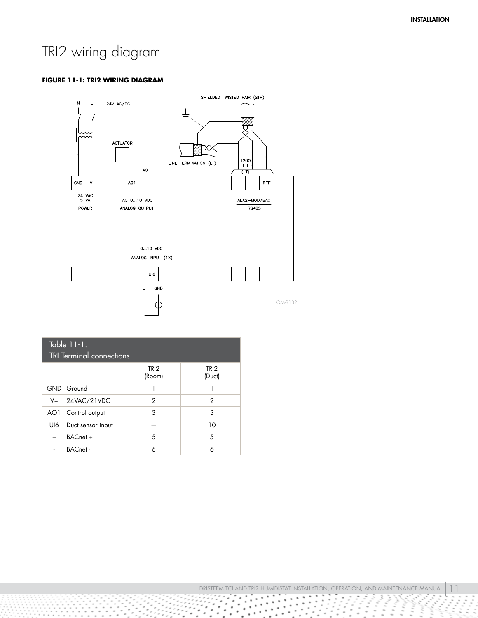## <span id="page-10-0"></span>TRI2 wiring diagram

#### **FIGURE 11-1: TRI2 WIRING DIAGRAM**



| Table 11-1:<br><b>TRI Terminal connections</b> |                   |                            |                            |
|------------------------------------------------|-------------------|----------------------------|----------------------------|
|                                                |                   | TRI <sub>2</sub><br>(Room) | TRI <sub>2</sub><br>(Duct) |
|                                                | GND Ground        |                            |                            |
|                                                | $V+$ 24VAC/21VDC  | 2                          | 2                          |
| AO1                                            | Control output    | 3                          | 3                          |
| UI6                                            | Duct sensor input |                            | 10                         |
| $\ddot{}$                                      | BACnet +          | 5                          | 5                          |
|                                                | <b>BACnet-</b>    | 6                          | 6                          |

DRISTEEM TCI AND TRI2 HUMIDISTAT INSTALLATION, OPERATION, AND MAINTENANCE MANUAL  $\,$  1 à.  $\alpha$ 

i,  $\bullet$ 

 $\bullet$  $\epsilon^{-1}$ 

 $\cdot$   $\cdot$  $\alpha$ 

×

٠

 $\cdots$ 

 $\ddot{\phantom{0}}$  $\bullet$ 

٠

٠

۰

۰

.

 $\bullet$ 

٠

 $\alpha$ 

i.  $\;$ 

 $\alpha$ 

à.

Ŷ ŷ Ţ

Î,

 $\ddot{\phantom{0}}$ 

 $\mathbf{r}$ H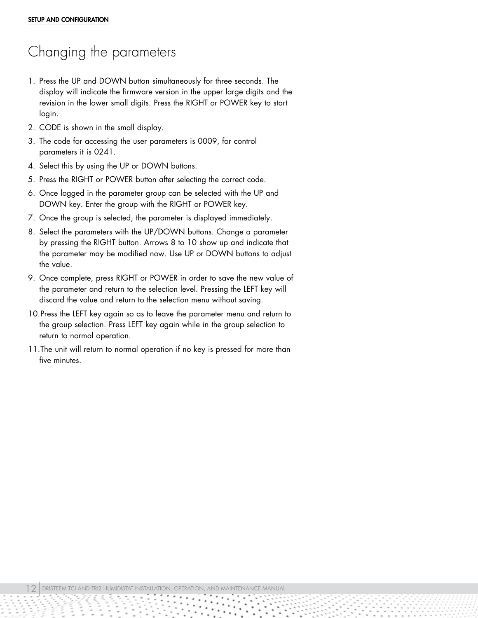# <span id="page-11-0"></span>Changing the parameters

- 1. Press the UP and DOWN button simultaneously for three seconds. The display will indicate the firmware version in the upper large digits and the revision in the lower small digits. Press the RIGHT or POWER key to start login.
- 2. CODE is shown in the small display.
- 3. The code for accessing the user parameters is 0009, for control parameters it is 0241.
- 4. Select this by using the UP or DOWN buttons.
- 5. Press the RIGHT or POWER button after selecting the correct code.
- 6. Once logged in the parameter group can be selected with the UP and DOWN key. Enter the group with the RIGHT or POWER key.
- 7. Once the group is selected, the parameter is displayed immediately.
- 8. Select the parameters with the UP/DOWN buttons. Change a parameter by pressing the RIGHT button. Arrows 8 to 10 show up and indicate that the parameter may be modified now. Use UP or DOWN buttons to adjust the value.
- 9. Once complete, press RIGHT or POWER in order to save the new value of the parameter and return to the selection level. Pressing the LEFT key will discard the value and return to the selection menu without saving.
- 10.Press the LEFT key again so as to leave the parameter menu and return to the group selection. Press LEFT key again while in the group selection to return to normal operation.
- 11.The unit will return to normal operation if no key is pressed for more than five minutes.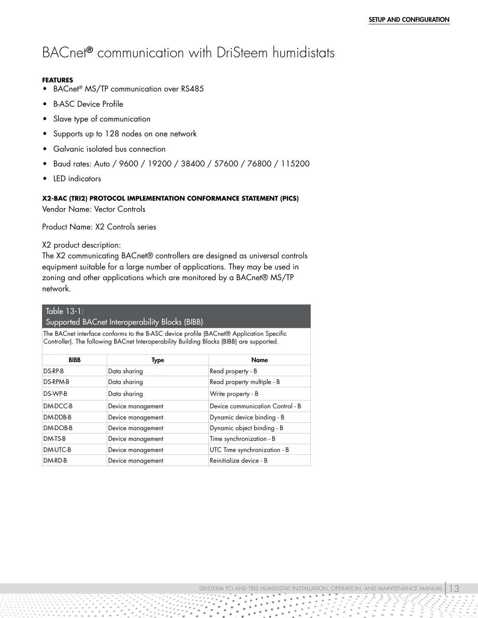### <span id="page-12-0"></span>BACnet® communication with DriSteem humidistats

#### **FEATURES**

- BACnet<sup>®</sup> MS/TP communication over RS485
- B-ASC Device Profile
- Slave type of communication
- Supports up to 128 nodes on one network
- Galvanic isolated bus connection
- Baud rates: Auto / 9600 / 19200 / 38400 / 57600 / 76800 / 115200
- LED indicators

### **X2-BAC (TRI2) PROTOCOL IMPLEMENTATION CONFORMANCE STATEMENT (PICS)**

Vendor Name: Vector Controls

Product Name: X2 Controls series

### X2 product description:

The X2 communicating BACnet® controllers are designed as universal controls equipment suitable for a large number of applications. They may be used in zoning and other applications which are monitored by a BACnet® MS/TP network.

### Table 13-1:

### Supported BACnet Interoperability Blocks (BIBB)

The BACnet interface conforms to the B-ASC device profile (BACnet® Application Specific Controller). The following BACnet Interoperability Building Blocks (BIBB) are supported.

| <b>BIBB</b> | Type              | <b>Name</b>                      |
|-------------|-------------------|----------------------------------|
| DS-RP-B     | Data sharing      | Read property - B                |
| DS-RPM-B    | Data sharing      | Read property multiple - B       |
| DS-WP-B     | Data sharing      | Write property - B               |
| DM-DCC-B    | Device management | Device communication Control - B |
| DM-DDB-B    | Device management | Dynamic device binding - B       |
| DM-DOB-B    | Device management | Dynamic object binding - B       |
| DM-TS-B     | Device management | Time synchronization - B         |
| DM-UTC-B    | Device management | UTC Time synchronization - B     |
| DM-RD-B     | Device management | Reinitialize device - B          |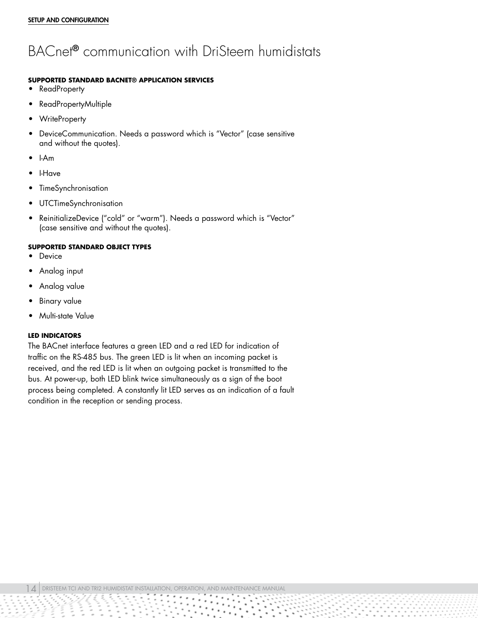## BACnet® communication with DriSteem humidistats

### **SUPPORTED STANDARD BACNET® APPLICATION SERVICES**

- ReadProperty
- ReadPropertyMultiple
- WriteProperty
- DeviceCommunication. Needs a password which is "Vector" (case sensitive and without the quotes).
- I-Am
- I-Have
- TimeSynchronisation
- UTCTimeSynchronisation
- ReinitializeDevice ("cold" or "warm"). Needs a password which is "Vector" (case sensitive and without the quotes).

#### **SUPPORTED STANDARD OBJECT TYPES**

- **Device**
- Analog input
- Analog value
- Binary value
- Multi-state Value

#### **LED INDICATORS**

The BACnet interface features a green LED and a red LED for indication of traffic on the RS-485 bus. The green LED is lit when an incoming packet is received, and the red LED is lit when an outgoing packet is transmitted to the bus. At power-up, both LED blink twice simultaneously as a sign of the boot process being completed. A constantly lit LED serves as an indication of a fault condition in the reception or sending process.

 $\mid\!\!\!\!\!\perp\!\!\!\!\!\perp\mid$  dristeem tci and tri2 humidistat installation, operation, and maintenance manual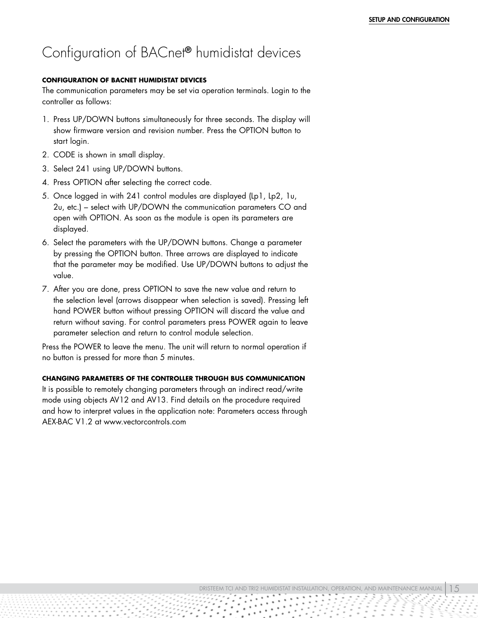### <span id="page-14-0"></span>Configuration of BACnet® humidistat devices

#### **CONFIGURATION OF BACNET HUMIDISTAT DEVICES**

The communication parameters may be set via operation terminals. Login to the controller as follows:

- 1. Press UP/DOWN buttons simultaneously for three seconds. The display will show firmware version and revision number. Press the OPTION button to start login.
- 2. CODE is shown in small display.
- 3. Select 241 using UP/DOWN buttons.
- 4. Press OPTION after selecting the correct code.
- 5. Once logged in with 241 control modules are displayed (Lp1, Lp2, 1u, 2u, etc.) – select with UP/DOWN the communication parameters CO and open with OPTION. As soon as the module is open its parameters are displayed.
- 6. Select the parameters with the UP/DOWN buttons. Change a parameter by pressing the OPTION button. Three arrows are displayed to indicate that the parameter may be modified. Use UP/DOWN buttons to adjust the value.
- 7. After you are done, press OPTION to save the new value and return to the selection level (arrows disappear when selection is saved). Pressing left hand POWER button without pressing OPTION will discard the value and return without saving. For control parameters press POWER again to leave parameter selection and return to control module selection.

Press the POWER to leave the menu. The unit will return to normal operation if no button is pressed for more than 5 minutes.

### **CHANGING PARAMETERS OF THE CONTROLLER THROUGH BUS COMMUNICATION**

It is possible to remotely changing parameters through an indirect read/write mode using objects AV12 and AV13. Find details on the procedure required and how to interpret values in the application note: Parameters access through AEX-BAC V1.2 at www.vectorcontrols.com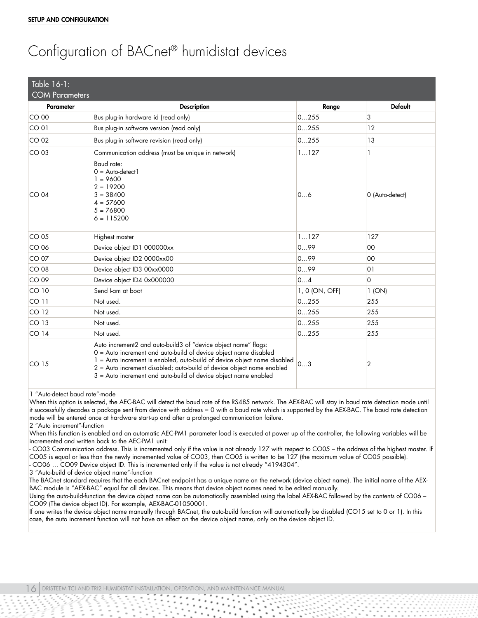# Configuration of BACnet® humidistat devices

| Table 16-1:<br><b>COM Parameters</b> |                                                                                                                                                                                                                                                                                                                                                            |                |                 |
|--------------------------------------|------------------------------------------------------------------------------------------------------------------------------------------------------------------------------------------------------------------------------------------------------------------------------------------------------------------------------------------------------------|----------------|-----------------|
| <b>Parameter</b>                     | <b>Description</b>                                                                                                                                                                                                                                                                                                                                         | Range          | <b>Default</b>  |
| CO 00                                | Bus plug-in hardware id (read only)                                                                                                                                                                                                                                                                                                                        | 0255           | 3               |
| CO <sub>01</sub>                     | Bus plug-in software version (read only)                                                                                                                                                                                                                                                                                                                   | 0255           | 12              |
| CO <sub>02</sub>                     | Bus plug-in software revision (read only)                                                                                                                                                                                                                                                                                                                  | 0255           | 13              |
| $CO$ 03                              | Communication address (must be unique in network)                                                                                                                                                                                                                                                                                                          | 1127           | 1               |
| CO <sub>04</sub>                     | Baud rate:<br>$0 = Auto-detect1$<br>$= 9600$<br>$2 = 19200$<br>$3 = 38400$<br>$4 = 57600$<br>$5 = 76800$<br>$6 = 115200$                                                                                                                                                                                                                                   | 06             | 0 (Auto-detect) |
| CO <sub>05</sub>                     | Highest master                                                                                                                                                                                                                                                                                                                                             | 1127           | 127             |
| CO 06                                | Device object ID1 000000xx                                                                                                                                                                                                                                                                                                                                 | 099            | $00\,$          |
| CO 07                                | Device object ID2 0000xx00                                                                                                                                                                                                                                                                                                                                 | 099            | 00              |
| CO 08                                | Device object ID3 00xx0000                                                                                                                                                                                                                                                                                                                                 | 099            | O <sub>1</sub>  |
| CO 09                                | Device object ID4 0x000000                                                                                                                                                                                                                                                                                                                                 | 04             | $\Omega$        |
| $CO$ 10                              | Send I-am at boot                                                                                                                                                                                                                                                                                                                                          | 1, 0 (ON, OFF) | 1 (ON)          |
| CO <sub>11</sub>                     | Not used.                                                                                                                                                                                                                                                                                                                                                  | 0255           | 255             |
| CO <sub>12</sub>                     | Not used.                                                                                                                                                                                                                                                                                                                                                  | 0255           | 255             |
| CO <sub>13</sub>                     | Not used.                                                                                                                                                                                                                                                                                                                                                  | 0255           | 255             |
| CO <sub>14</sub>                     | Not used.                                                                                                                                                                                                                                                                                                                                                  | 0255           | 255             |
| CO <sub>15</sub>                     | Auto increment2 and auto-build3 of "device object name" flags:<br>0 = Auto increment and auto-build of device object name disabled<br>1 = Auto increment is enabled, auto-build of device object name disabled<br>2 = Auto increment disabled; auto-build of device object name enabled<br>3 = Auto increment and auto-build of device object name enabled | 03             | 2               |

1 "Auto-detect baud rate"-mode

When this option is selected, the AEC-BAC will detect the baud rate of the RS485 network. The AEX-BAC will stay in baud rate detection mode until it successfully decodes a package sent from device with address = 0 with a baud rate which is supported by the AEX-BAC. The baud rate detection mode will be entered once at hardware start-up and after a prolonged communication failure.

2 "Auto increment"-function

When this function is enabled and an automatic AEC-PM1 parameter load is executed at power up of the controller, the following variables will be incremented and written back to the AEC-PM1 unit:

- CO03 Communication address. This is incremented only if the value is not already 127 with respect to CO05 – the address of the highest master. If CO05 is equal or less than the newly incremented value of CO03, then CO05 is written to be 127 (the maximum value of CO05 possible).

- CO06 … CO09 Device object ID. This is incremented only if the value is not already "4194304".

3 "Auto-build of device object name"-function

The BACnet standard requires that the each BACnet endpoint has a unique name on the network (device object name). The initial name of the AEX-BAC module is "AEX-BAC" equal for all devices. This means that device object names need to be edited manually.

Using the auto-build-function the device object name can be automatically assembled using the label AEX-BAC followed by the contents of CO06 – CO09 (The device object ID). For example, AEX-BAC-01050001.

If one writes the device object name manually through BACnet, the auto-build function will automatically be disabled (CO15 set to 0 or 1). In this case, the auto increment function will not have an effect on the device object name, only on the device object ID.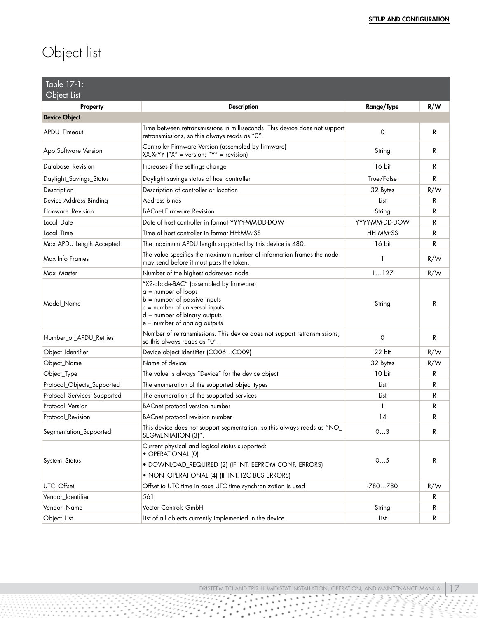# <span id="page-16-0"></span>Object list

| Table 17-1:<br>Object List  |                                                                                                                                                                                                         |                |     |
|-----------------------------|---------------------------------------------------------------------------------------------------------------------------------------------------------------------------------------------------------|----------------|-----|
| Property                    | <b>Description</b>                                                                                                                                                                                      | Range/Type     | R/W |
| <b>Device Object</b>        |                                                                                                                                                                                                         |                |     |
| APDU_Timeout                | Time between retransmissions in milliseconds. This device does not support<br>retransmissions, so this always reads as "0".                                                                             | $\circ$        | R   |
| App Software Version        | Controller Firmware Version (assembled by firmware)<br>$XX.XrYY$ ("X" = version; "Y" = revision)                                                                                                        | String         | R   |
| Database Revision           | Increases if the settings change                                                                                                                                                                        | 16 bit         | R   |
| Daylight_Savings_Status     | Daylight savings status of host controller                                                                                                                                                              | True/False     | R   |
| Description                 | Description of controller or location                                                                                                                                                                   | 32 Bytes       | R/W |
| Device Address Binding      | Address binds                                                                                                                                                                                           | List           | R   |
| Firmware_Revision           | <b>BACnet Firmware Revision</b>                                                                                                                                                                         | String         | R   |
| Local_Date                  | Date of host controller in format YYYY-MM-DD-DOW                                                                                                                                                        | YYYY-MM-DD-DOW | R   |
| Local_Time                  | Time of host controller in format HH:MM:SS                                                                                                                                                              | HH:MM:SS       | R   |
| Max APDU Length Accepted    | The maximum APDU length supported by this device is 480.                                                                                                                                                | 16 bit         | R   |
| Max Info Frames             | The value specifies the maximum number of information frames the node<br>may send before it must pass the token.                                                                                        | 1              | R/W |
| Max_Master                  | Number of the highest addressed node                                                                                                                                                                    | 1127           | R/W |
| Model Name                  | "X2-abcde-BAC" (assembled by firmware)<br>$a = number of loops$<br>$b =$ number of passive inputs<br>$c =$ number of universal inputs<br>$d =$ number of binary outputs<br>e = number of analog outputs | String         | R   |
| Number_of_APDU_Retries      | Number of retransmissions. This device does not support retransmissions,<br>so this always reads as "0".                                                                                                | $\mathbf 0$    | R   |
| Object_Identifier           | Device object identifier (CO06CO09)                                                                                                                                                                     | 22 bit         | R/W |
| Object_Name                 | Name of device                                                                                                                                                                                          | 32 Bytes       | R/W |
| Object_Type                 | The value is always "Device" for the device object                                                                                                                                                      | 10 bit         | R   |
| Protocol_Objects_Supported  | The enumeration of the supported object types                                                                                                                                                           | List           | R   |
| Protocol_Services_Supported | The enumeration of the supported services                                                                                                                                                               | List           | R   |
| Protocol_Version            | <b>BACnet protocol version number</b>                                                                                                                                                                   | 1              | R   |
| Protocol_Revision           | <b>BACnet protocol revision number</b>                                                                                                                                                                  | 14             | R   |
| Segmentation_Supported      | This device does not support segmentation, so this always reads as "NO_<br>SEGMENTATION (3)".                                                                                                           | 03             | R   |
| System_Status               | Current physical and logical status supported:<br>• OPERATIONAL (0)<br>· DOWNLOAD_REQUIRED (2) (IF INT. EEPROM CONF. ERRORS)<br>· NON_OPERATIONAL (4) (IF INT. I2C BUS ERRORS)                          | 05             | R   |
| UTC_Offset                  | Offset to UTC time in case UTC time synchronization is used                                                                                                                                             | -780780        | R/W |
| Vendor_Identifier           | 561                                                                                                                                                                                                     |                | R   |
| Vendor_Name                 | Vector Controls GmbH                                                                                                                                                                                    | String         | R   |
| Object_List                 | List of all objects currently implemented in the device                                                                                                                                                 | List           | R   |

٠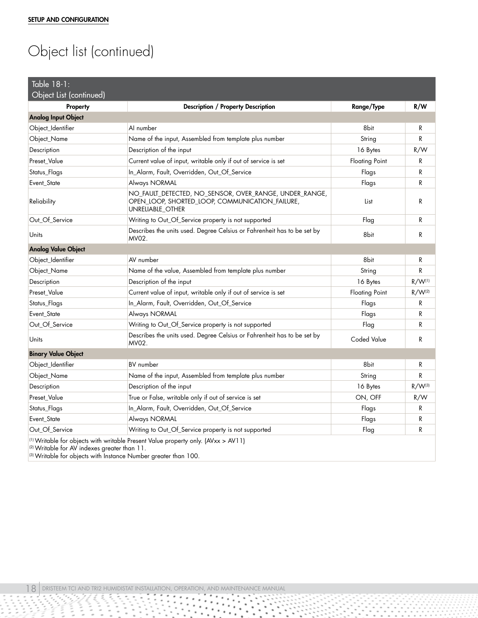# Object list (continued)

| Table $18-1$ :                                                                                                                                                                                                             |                                                                                                                               |                       |                    |
|----------------------------------------------------------------------------------------------------------------------------------------------------------------------------------------------------------------------------|-------------------------------------------------------------------------------------------------------------------------------|-----------------------|--------------------|
| Object List (continued)                                                                                                                                                                                                    |                                                                                                                               |                       |                    |
| Property                                                                                                                                                                                                                   | Description / Property Description                                                                                            | Range/Type            | R/W                |
| <b>Analog Input Object</b>                                                                                                                                                                                                 |                                                                                                                               |                       |                    |
| Object_Identifier                                                                                                                                                                                                          | Al number                                                                                                                     | 8bit                  | R                  |
| Object_Name                                                                                                                                                                                                                | Name of the input, Assembled from template plus number                                                                        | String                | R                  |
| Description                                                                                                                                                                                                                | Description of the input                                                                                                      | 16 Bytes              | R/W                |
| Preset_Value                                                                                                                                                                                                               | Current value of input, writable only if out of service is set                                                                | <b>Floating Point</b> | R                  |
| Status_Flags                                                                                                                                                                                                               | In_Alarm, Fault, Overridden, Out_Of_Service                                                                                   | Flags                 | R                  |
| Event_State                                                                                                                                                                                                                | Always NORMAL                                                                                                                 | Flags                 | R                  |
| Reliability                                                                                                                                                                                                                | NO_FAULT_DETECTED, NO_SENSOR, OVER_RANGE, UNDER_RANGE,<br>OPEN_LOOP, SHORTED_LOOP, COMMUNICATION_FAILURE,<br>UNRELIABLE_OTHER | List                  | R                  |
| Out_Of_Service                                                                                                                                                                                                             | Writing to Out_Of_Service property is not supported                                                                           | Flag                  | R                  |
| Units                                                                                                                                                                                                                      | Describes the units used. Degree Celsius or Fahrenheit has to be set by<br>MV02.                                              | 8bit                  | R                  |
| <b>Analog Value Object</b>                                                                                                                                                                                                 |                                                                                                                               |                       |                    |
| Object_Identifier                                                                                                                                                                                                          | AV number                                                                                                                     | 8bit                  | R                  |
| Object_Name                                                                                                                                                                                                                | Name of the value, Assembled from template plus number                                                                        | String                | R                  |
| Description                                                                                                                                                                                                                | Description of the input                                                                                                      | 16 Bytes              | $R/W^{(1)}$        |
| Preset Value                                                                                                                                                                                                               | Current value of input, writable only if out of service is set                                                                | <b>Floating Point</b> | R/W <sup>(2)</sup> |
| Status_Flags                                                                                                                                                                                                               | In_Alarm, Fault, Overridden, Out_Of_Service                                                                                   | Flags                 | R                  |
| Event_State                                                                                                                                                                                                                | Always NORMAL                                                                                                                 | Flags                 | R                  |
| Out_Of_Service                                                                                                                                                                                                             | Writing to Out_Of_Service property is not supported                                                                           | Flag                  | R                  |
| Units                                                                                                                                                                                                                      | Describes the units used. Degree Celsius or Fahrenheit has to be set by<br>MV02.                                              | <b>Coded Value</b>    | R                  |
| <b>Binary Value Object</b>                                                                                                                                                                                                 |                                                                                                                               |                       |                    |
| Object_Identifier                                                                                                                                                                                                          | <b>BV</b> number                                                                                                              | 8bit                  | R                  |
| Object_Name                                                                                                                                                                                                                | Name of the input, Assembled from template plus number                                                                        | String                | R                  |
| Description                                                                                                                                                                                                                | Description of the input                                                                                                      | 16 Bytes              | $R/W^{(3)}$        |
| Preset_Value                                                                                                                                                                                                               | True or False, writable only if out of service is set                                                                         | ON, OFF               | R/W                |
| Status_Flags                                                                                                                                                                                                               | In_Alarm, Fault, Overridden, Out_Of_Service                                                                                   | Flags                 | R                  |
| Event_State                                                                                                                                                                                                                | Always NORMAL                                                                                                                 | Flags                 | R                  |
| Out Of Service                                                                                                                                                                                                             | Writing to Out_Of_Service property is not supported                                                                           | Flag                  | R                  |
| (1) Writable for objects with writable Present Value property only. (AVxx > AV11)<br><sup>(2)</sup> Writable for AV indexes greater than 11.<br><sup>(3)</sup> Writable for objects with Instance Number greater than 100. |                                                                                                                               |                       |                    |

사고

 $\ddotsc$ 

 $\cdot$  .

 $\bullet$  $\bullet$ 

 $\hbox{ }$ 

 $\;$ 

 $\sum_{i=1}^{n}$  $\sum_{i=1}^{\infty}$ 

 $\sim$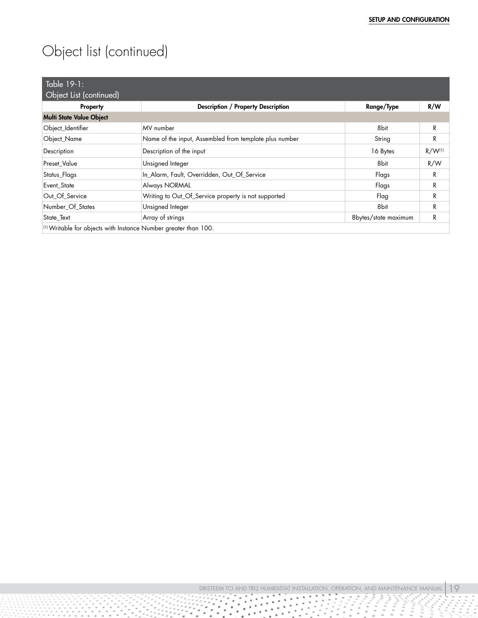# Object list (continued)

| Table 19-1:                     |                                                                 |                      |             |
|---------------------------------|-----------------------------------------------------------------|----------------------|-------------|
| Object List (continued)         |                                                                 |                      |             |
| Property                        | <b>Description / Property Description</b>                       | Range/Type           | R/W         |
| <b>Multi State Value Object</b> |                                                                 |                      |             |
| Object_Identifier               | MV number                                                       | 8bit                 | R           |
| Object_Name                     | Name of the input, Assembled from template plus number          | String               | R           |
| Description                     | Description of the input                                        | 16 Bytes             | $R/W^{(1)}$ |
| <b>Preset Value</b>             | Unsigned Integer                                                | 8bit                 | R/W         |
| Status_Flags                    | In_Alarm, Fault, Overridden, Out_Of_Service                     | Flags                | R           |
| Event State                     | Always NORMAL                                                   | Flags                | R           |
| Out Of Service                  | Writing to Out_Of_Service property is not supported             | Flag                 | R           |
| Number_Of_States                | Unsigned Integer                                                | 8bit                 | R           |
| State_Text                      | Array of strings                                                | 8bytes/state maximum | R           |
|                                 | (1) Writable for objects with Instance Number greater than 100. |                      |             |

à.

٠ ٠

94 ٠

 $\hat{\phantom{a}}$ 

 $\bullet$ 

٠

٠

٠ ۰

 $\bullet$  $\bullet$ 

 $\ddot{\phantom{1}}$ ٠

٠

.

 $\ddot{\phantom{0}}$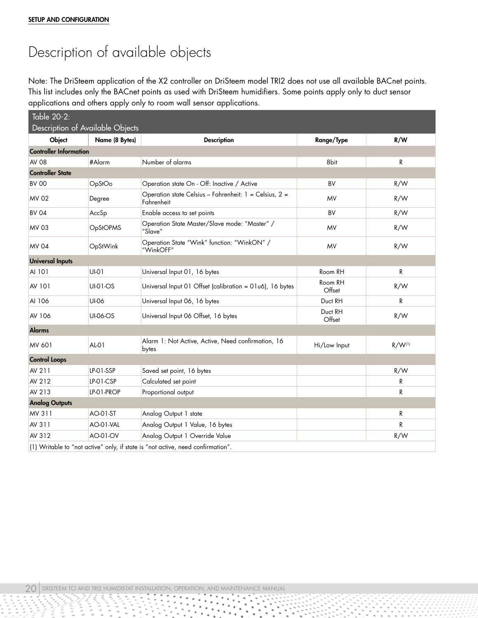## <span id="page-19-0"></span>Description of available objects

Note: The DriSteem application of the X2 controller on DriSteem model TRI2 does not use all available BACnet points. This list includes only the BACnet points as used with DriSteem humidifiers. Some points apply only to duct sensor applications and others apply only to room wall sensor applications.

| Table 20-2:                   |                                  |                                                                                 |                   |             |
|-------------------------------|----------------------------------|---------------------------------------------------------------------------------|-------------------|-------------|
|                               | Description of Available Objects |                                                                                 |                   |             |
| Object                        | Name (8 Bytes)                   | <b>Description</b>                                                              | Range/Type        | R/W         |
| <b>Controller Information</b> |                                  |                                                                                 |                   |             |
| <b>AV 08</b>                  | #Alarm                           | Number of alarms                                                                | 8bit              | R           |
| <b>Controller State</b>       |                                  |                                                                                 |                   |             |
| <b>BV 00</b>                  | OpStOo                           | Operation state On - Off: Inactive / Active                                     | BV                | R/W         |
| <b>MV 02</b>                  | Degree                           | Operation state Celsius - Fahrenheit: 1 = Celsius, 2 =<br>Fahrenheit            | <b>MV</b>         | R/W         |
| <b>BV 04</b>                  | AccSp                            | Enable access to set points                                                     | <b>BV</b>         | R/W         |
| <b>MV 03</b>                  | OpStOPMS                         | Operation State Master/Slave mode: "Master" /<br>"Slave"                        | <b>MV</b>         | R/W         |
| <b>MV 04</b>                  | OpStWink                         | Operation State "Wink" function: "WinkON" /<br>"WinkOFF"                        | MV                | R/W         |
| <b>Universal Inputs</b>       |                                  |                                                                                 |                   |             |
| AI 101                        | $UI-O1$                          | Universal Input 01, 16 bytes                                                    | Room RH           | R           |
| <b>AV 101</b>                 | <b>UI-01-OS</b>                  | Universal Input 01 Offset (calibration = 01u6), 16 bytes                        | Room RH<br>Offset | R/W         |
| AI 106                        | <b>UI-06</b>                     | Universal Input 06, 16 bytes                                                    | Duct RH           | R           |
| AV 106                        | <b>UI-06-OS</b>                  | Universal Input 06 Offset, 16 bytes                                             | Duct RH<br>Offset | R/W         |
| <b>Alarms</b>                 |                                  |                                                                                 |                   |             |
| MV 601                        | $AL-01$                          | Alarm 1: Not Active, Active, Need confirmation, 16<br>bytes                     | Hi/Low Input      | $R/W^{(1)}$ |
| <b>Control Loops</b>          |                                  |                                                                                 |                   |             |
| AV 211                        | LP-01-SSP                        | Saved set point, 16 bytes                                                       |                   | R/W         |
| AV 212                        | LP-01-CSP                        | Calculated set point                                                            |                   | R           |
| AV 213                        | LP-01-PROP                       | Proportional output                                                             |                   | R           |
| <b>Analog Outputs</b>         |                                  |                                                                                 |                   |             |
| MV 311                        | AO-01-ST                         | Analog Output 1 state                                                           |                   | R           |
| AV 311                        | AO-01-VAL                        | Analog Output 1 Value, 16 bytes                                                 |                   | R           |
| AV 312                        | AO-01-OV                         | Analog Output 1 Override Value                                                  |                   | R/W         |
|                               |                                  | (1) Writable to "not active" only, if state is "not active, need confirmation". |                   |             |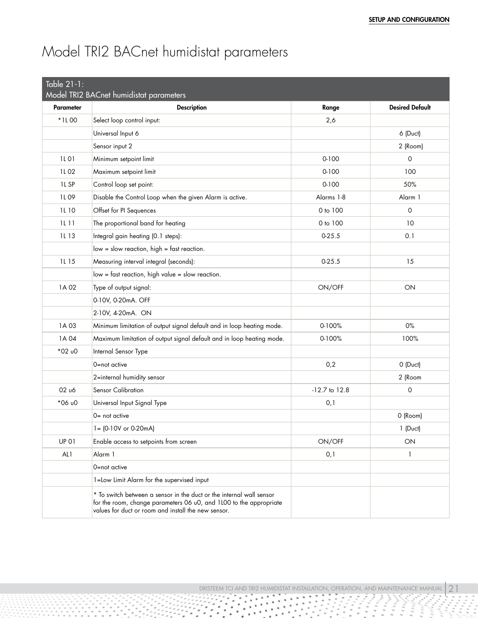# <span id="page-20-0"></span>Model TRI2 BACnet humidistat parameters

<span id="page-20-1"></span>

| Table 21-1:      |                                                                                                                                                                                                   |                   |                        |
|------------------|---------------------------------------------------------------------------------------------------------------------------------------------------------------------------------------------------|-------------------|------------------------|
|                  | Model TRI2 BACnet humidistat parameters                                                                                                                                                           |                   |                        |
| <b>Parameter</b> | <b>Description</b>                                                                                                                                                                                | Range             | <b>Desired Default</b> |
| *1L00            | Select loop control input:                                                                                                                                                                        | 2,6               |                        |
|                  | Universal Input 6                                                                                                                                                                                 |                   | 6 (Duct)               |
|                  | Sensor input 2                                                                                                                                                                                    |                   | 2 (Room)               |
| 1L 01            | Minimum setpoint limit                                                                                                                                                                            | $0 - 100$         | 0                      |
| 1L 02            | Maximum setpoint limit                                                                                                                                                                            | $0 - 100$         | 100                    |
| 1L <sub>SP</sub> | Control loop set point:                                                                                                                                                                           | $0 - 100$         | 50%                    |
| 1L 09            | Disable the Control Loop when the given Alarm is active.                                                                                                                                          | Alarms 1-8        | Alarm 1                |
| 1L 10            | Offset for PI Sequences                                                                                                                                                                           | 0 to 100          | 0                      |
| 1L 11            | The proportional band for heating                                                                                                                                                                 | 0 to 100          | 10                     |
| <b>1L13</b>      | Integral gain heating (0.1 steps):                                                                                                                                                                | $0-25.5$          | 0.1                    |
|                  | $low = slow reaction, high = fast reaction.$                                                                                                                                                      |                   |                        |
| 1L 15            | Measuring interval integral (seconds):                                                                                                                                                            | $0-25.5$          | 15                     |
|                  | low = fast reaction, high value = slow reaction.                                                                                                                                                  |                   |                        |
| 1A 02            | Type of output signal:                                                                                                                                                                            | ON/OFF            | ON                     |
|                  | 0-10V, 0-20mA. OFF                                                                                                                                                                                |                   |                        |
|                  | 2-10V, 4-20mA. ON                                                                                                                                                                                 |                   |                        |
| 1A03             | Minimum limitation of output signal default and in loop heating mode.                                                                                                                             | 0-100%            | 0%                     |
| 1A 04            | Maximum limitation of output signal default and in loop heating mode.                                                                                                                             | 0-100%            | 100%                   |
| *02 u0           | Internal Sensor Type                                                                                                                                                                              |                   |                        |
|                  | 0=not active                                                                                                                                                                                      | 0,2               | 0 (Duct)               |
|                  | 2=internal humidity sensor                                                                                                                                                                        |                   | 2 (Room                |
| 02 u6            | <b>Sensor Calibration</b>                                                                                                                                                                         | $-12.7$ to $12.8$ | 0                      |
| *06 u0           | Universal Input Signal Type                                                                                                                                                                       | 0,1               |                        |
|                  | $0 = not active$                                                                                                                                                                                  |                   | 0 (Room)               |
|                  | $l = (0.10V or 0.20mA)$                                                                                                                                                                           |                   | 1 (Duct)               |
| <b>UP 01</b>     | Enable access to setpoints from screen                                                                                                                                                            | ON/OFF            | ON                     |
| AL1              | Alarm 1                                                                                                                                                                                           | 0,1               | $\mathbf{1}$           |
|                  | 0=not active                                                                                                                                                                                      |                   |                        |
|                  | 1=Low Limit Alarm for the supervised input                                                                                                                                                        |                   |                        |
|                  | * To switch between a sensor in the duct or the internal wall sensor<br>for the room, change parameters 06 u0, and 1L00 to the appropriate<br>values for duct or room and install the new sensor. |                   |                        |

Ţ.

٠

 $\tilde{\phantom{a}}$ ٠

 $\bullet$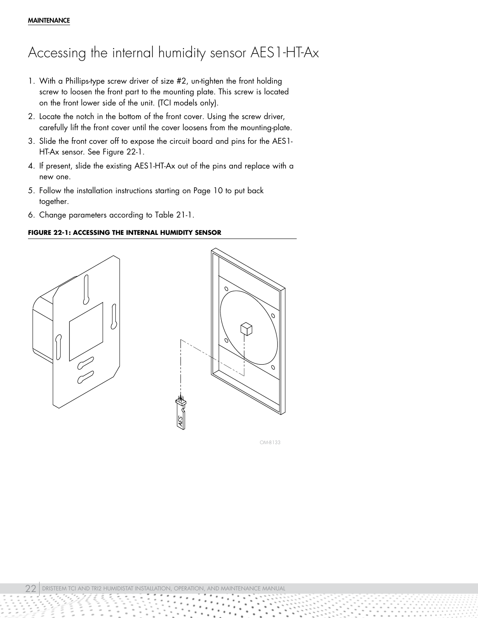### <span id="page-21-0"></span>Accessing the internal humidity sensor AES1-HT-Ax

- 1. With a Phillips-type screw driver of size #2, un-tighten the front holding screw to loosen the front part to the mounting plate. This screw is located on the front lower side of the unit. (TCI models only).
- 2. Locate the notch in the bottom of the front cover. Using the screw driver, carefully lift the front cover until the cover loosens from the mounting-plate.
- 3. Slide the front cover off to expose the circuit board and pins for the AES1- HT-Ax sensor. See Figure [22](#page-21-1)-1.
- 4. If present, slide the existing AES1-HT-Ax out of the pins and replace with a new one.
- 5. Follow the installation instructions starting on Page [10](#page-9-1) to put back together.
- 6. Change parameters according to Table [21](#page-20-1)-1.

### <span id="page-21-1"></span>**FIGURE 22-1: ACCESSING THE INTERNAL HUMIDITY SENSOR**





OM-8133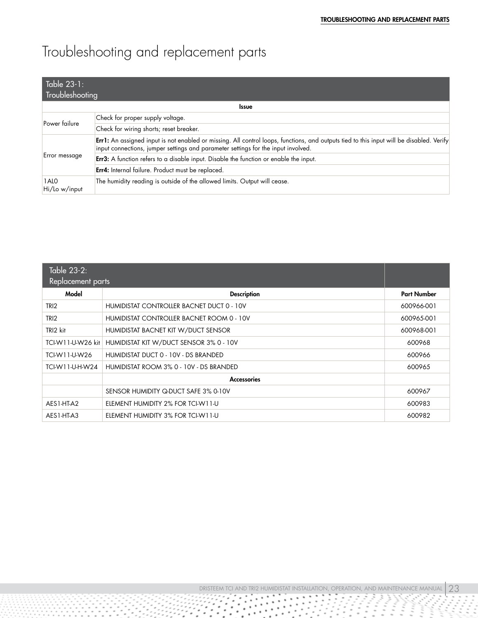# <span id="page-22-0"></span>Troubleshooting and replacement parts

| Table 23-1:<br>Troubleshooting |                                                                                                                                                                                                                               |  |
|--------------------------------|-------------------------------------------------------------------------------------------------------------------------------------------------------------------------------------------------------------------------------|--|
| <b>Issue</b>                   |                                                                                                                                                                                                                               |  |
| Power failure                  | Check for proper supply voltage.                                                                                                                                                                                              |  |
|                                | Check for wiring shorts; reset breaker.                                                                                                                                                                                       |  |
| Error message                  | Err1: An assigned input is not enabled or missing. All control loops, functions, and outputs tied to this input will be disabled. Verify<br>input connections, jumper settings and parameter settings for the input involved. |  |
|                                | <b>Err3:</b> A function refers to a disable input. Disable the function or enable the input.                                                                                                                                  |  |
|                                | Err4: Internal failure. Product must be replaced.                                                                                                                                                                             |  |
| 1ALO<br>Hi/Lo w/input          | The humidity reading is outside of the allowed limits. Output will cease.                                                                                                                                                     |  |

| Table 23-2:<br><b>Replacement parts</b> |                                           |                    |
|-----------------------------------------|-------------------------------------------|--------------------|
| Model                                   | <b>Description</b>                        | <b>Part Number</b> |
| TRI <sub>2</sub>                        | HUMIDISTAT CONTROLLER BACNET DUCT 0 - 10V | 600966-001         |
| TRI <sub>2</sub>                        | HUMIDISTAT CONTROLLER BACNET ROOM 0 - 10V | 600965-001         |
| TRI2 kit                                | HUMIDISTAT BACNET KIT W/DUCT SENSOR       | 600968-001         |
| TCI-W11-U-W26 kit                       | HUMIDISTAT KIT W/DUCT SENSOR 3% 0 - 10V   | 600968             |
| TCI-W11-U-W26                           | HUMIDISTAT DUCT 0 - 10V - DS BRANDED      | 600966             |
| TCI-W11-U-H-W24                         | HUMIDISTAT ROOM 3% 0 - 10V - DS BRANDED   | 600965             |
|                                         | <b>Accessories</b>                        |                    |
|                                         | SENSOR HUMIDITY Q-DUCT SAFE 3% 0-10V      | 600967             |
| AES1-HT-A2                              | ELEMENT HUMIDITY 2% FOR TCI-W11-U         | 600983             |
| AES1-HT-A3                              | ELEMENT HUMIDITY 3% FOR TCI-W11-U         | 600982             |

 $\cdot$   $\cdot$ 

 $\ddot{\phantom{1}}$ ٠  $\ddot{\phantom{0}}$ 

٠

 $\bullet$ 

٠

VÇ.

٠

٠

DRISTEEM TCI AND TRI2 HUMIDISTAT INSTALLATION, OPERATION, AND MAINTENANCE MANUAL  $\boxed{23}$